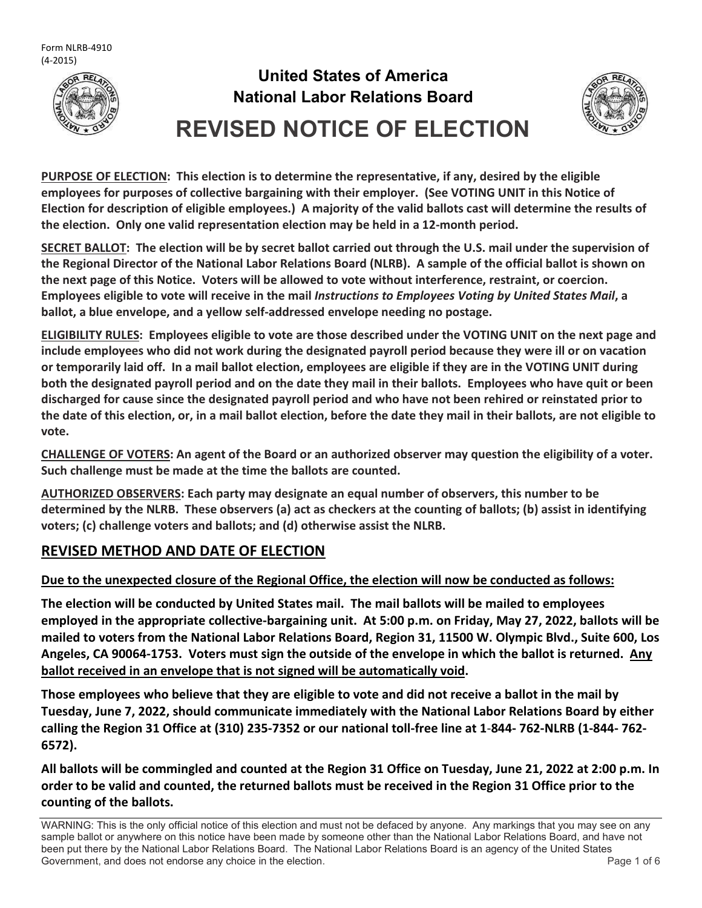

# **United States of America National Labor Relations Board REVISED NOTICE OF ELECTION**



**PURPOSE OF ELECTION: This election is to determine the representative, if any, desired by the eligible employees for purposes of collective bargaining with their employer. (See VOTING UNIT in this Notice of Election for description of eligible employees.) A majority of the valid ballots cast will determine the results of the election. Only one valid representation election may be held in a 12-month period.**

**SECRET BALLOT: The election will be by secret ballot carried out through the U.S. mail under the supervision of the Regional Director of the National Labor Relations Board (NLRB). A sample of the official ballot is shown on the next page of this Notice. Voters will be allowed to vote without interference, restraint, or coercion. Employees eligible to vote will receive in the mail** *Instructions to Employees Voting by United States Mail***, a ballot, a blue envelope, and a yellow self-addressed envelope needing no postage.**

**ELIGIBILITY RULES: Employees eligible to vote are those described under the VOTING UNIT on the next page and include employees who did not work during the designated payroll period because they were ill or on vacation or temporarily laid off. In a mail ballot election, employees are eligible if they are in the VOTING UNIT during both the designated payroll period and on the date they mail in their ballots. Employees who have quit or been discharged for cause since the designated payroll period and who have not been rehired or reinstated prior to the date of this election, or, in a mail ballot election, before the date they mail in their ballots, are not eligible to vote.**

**CHALLENGE OF VOTERS: An agent of the Board or an authorized observer may question the eligibility of a voter. Such challenge must be made at the time the ballots are counted.**

**AUTHORIZED OBSERVERS: Each party may designate an equal number of observers, this number to be determined by the NLRB. These observers (a) act as checkers at the counting of ballots; (b) assist in identifying voters; (c) challenge voters and ballots; and (d) otherwise assist the NLRB.**

### **REVISED METHOD AND DATE OF ELECTION**

#### **Due to the unexpected closure of the Regional Office, the election will now be conducted as follows:**

**The election will be conducted by United States mail. The mail ballots will be mailed to employees employed in the appropriate collective-bargaining unit. At 5:00 p.m. on Friday, May 27, 2022, ballots will be mailed to voters from the National Labor Relations Board, Region 31, 11500 W. Olympic Blvd., Suite 600, Los Angeles, CA 90064-1753. Voters must sign the outside of the envelope in which the ballot is returned. Any ballot received in an envelope that is not signed will be automatically void.**

**Those employees who believe that they are eligible to vote and did not receive a ballot in the mail by Tuesday, June 7, 2022, should communicate immediately with the National Labor Relations Board by either calling the Region 31 Office at (310) 235-7352 or our national toll-free line at 1**-**844- 762-NLRB (1-844- 762- 6572).**

**All ballots will be commingled and counted at the Region 31 Office on Tuesday, June 21, 2022 at 2:00 p.m. In order to be valid and counted, the returned ballots must be received in the Region 31 Office prior to the counting of the ballots.**

WARNING: This is the only official notice of this election and must not be defaced by anyone. Any markings that you may see on any sample ballot or anywhere on this notice have been made by someone other than the National Labor Relations Board, and have not been put there by the National Labor Relations Board. The National Labor Relations Board is an agency of the United States Government, and does not endorse any choice in the election. The endorse and the election of 6 services and the election.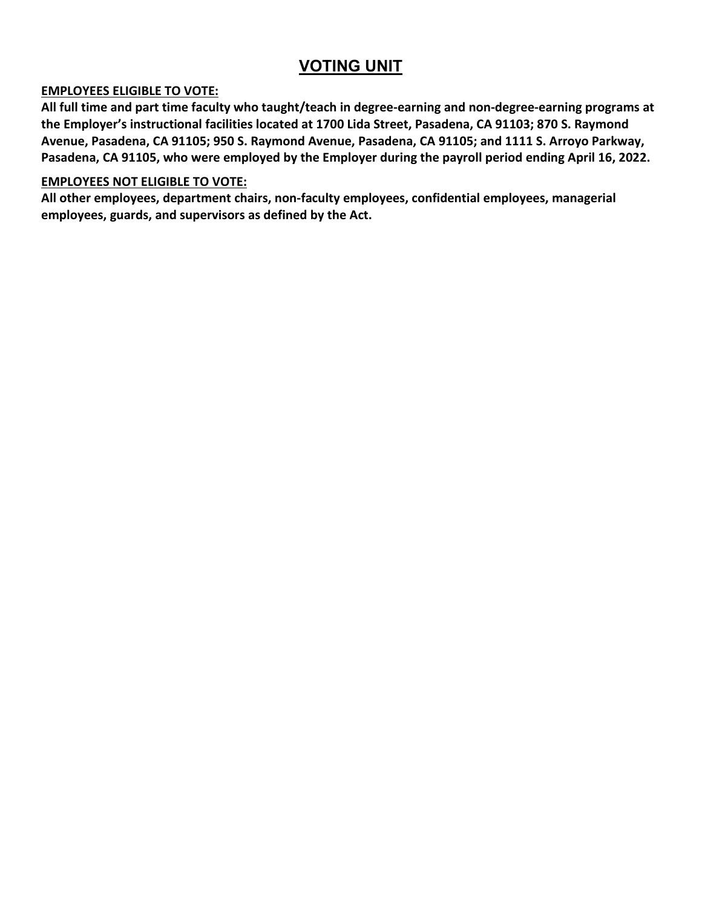## **VOTING UNIT**

#### **EMPLOYEES ELIGIBLE TO VOTE:**

**All full time and part time faculty who taught/teach in degree-earning and non-degree-earning programs at the Employer's instructional facilities located at 1700 Lida Street, Pasadena, CA 91103; 870 S. Raymond Avenue, Pasadena, CA 91105; 950 S. Raymond Avenue, Pasadena, CA 91105; and 1111 S. Arroyo Parkway, Pasadena, CA 91105, who were employed by the Employer during the payroll period ending April 16, 2022.**

#### **EMPLOYEES NOT ELIGIBLE TO VOTE:**

**All other employees, department chairs, non-faculty employees, confidential employees, managerial employees, guards, and supervisors as defined by the Act.**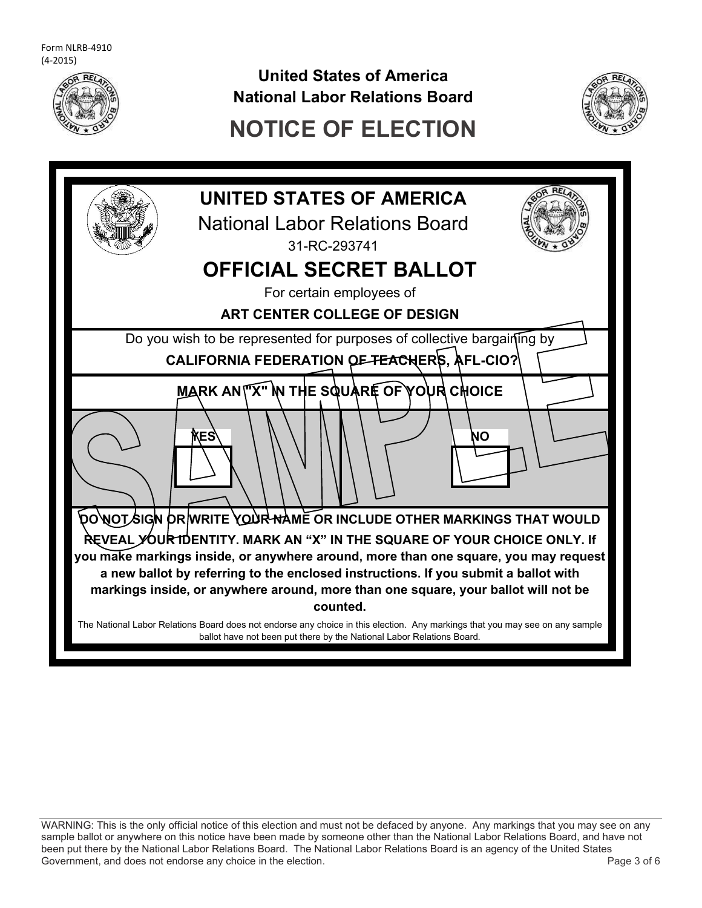

**United States of America National Labor Relations Board**



## **NOTICE OF ELECTION**



WARNING: This is the only official notice of this election and must not be defaced by anyone. Any markings that you may see on any sample ballot or anywhere on this notice have been made by someone other than the National Labor Relations Board, and have not been put there by the National Labor Relations Board. The National Labor Relations Board is an agency of the United States Government, and does not endorse any choice in the election.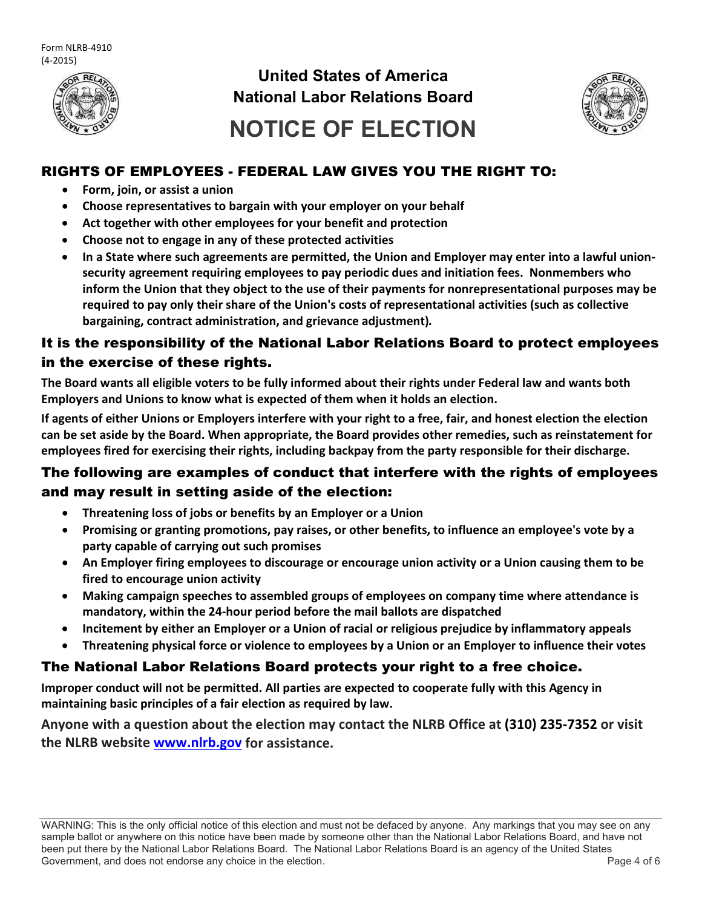

## **United States of America National Labor Relations Board**



# **NOTICE OF ELECTION**

#### RIGHTS OF EMPLOYEES - FEDERAL LAW GIVES YOU THE RIGHT TO:

- **Form, join, or assist a union**
- **Choose representatives to bargain with your employer on your behalf**
- **Act together with other employees for your benefit and protection**
- **Choose not to engage in any of these protected activities**
- **In a State where such agreements are permitted, the Union and Employer may enter into a lawful unionsecurity agreement requiring employees to pay periodic dues and initiation fees. Nonmembers who inform the Union that they object to the use of their payments for nonrepresentational purposes may be required to pay only their share of the Union's costs of representational activities (such as collective bargaining, contract administration, and grievance adjustment)***.*

### It is the responsibility of the National Labor Relations Board to protect employees in the exercise of these rights.

**The Board wants all eligible voters to be fully informed about their rights under Federal law and wants both Employers and Unions to know what is expected of them when it holds an election.**

**If agents of either Unions or Employers interfere with your right to a free, fair, and honest election the election can be set aside by the Board. When appropriate, the Board provides other remedies, such as reinstatement for employees fired for exercising their rights, including backpay from the party responsible for their discharge.**

#### The following are examples of conduct that interfere with the rights of employees and may result in setting aside of the election:

- **Threatening loss of jobs or benefits by an Employer or a Union**
- **Promising or granting promotions, pay raises, or other benefits, to influence an employee's vote by a party capable of carrying out such promises**
- **An Employer firing employees to discourage or encourage union activity or a Union causing them to be fired to encourage union activity**
- **Making campaign speeches to assembled groups of employees on company time where attendance is mandatory, within the 24-hour period before the mail ballots are dispatched**
- **Incitement by either an Employer or a Union of racial or religious prejudice by inflammatory appeals**
- **Threatening physical force or violence to employees by a Union or an Employer to influence their votes**

#### The National Labor Relations Board protects your right to a free choice.

**Improper conduct will not be permitted. All parties are expected to cooperate fully with this Agency in maintaining basic principles of a fair election as required by law.**

**Anyone with a question about the election may contact the NLRB Office at (310) 235-7352 or visit the NLRB website [www.nlrb.gov](http://www.nlrb.gov/) for assistance.**

WARNING: This is the only official notice of this election and must not be defaced by anyone. Any markings that you may see on any sample ballot or anywhere on this notice have been made by someone other than the National Labor Relations Board, and have not been put there by the National Labor Relations Board. The National Labor Relations Board is an agency of the United States Government, and does not endorse any choice in the election. The endorse and the election of 6 over the election of 6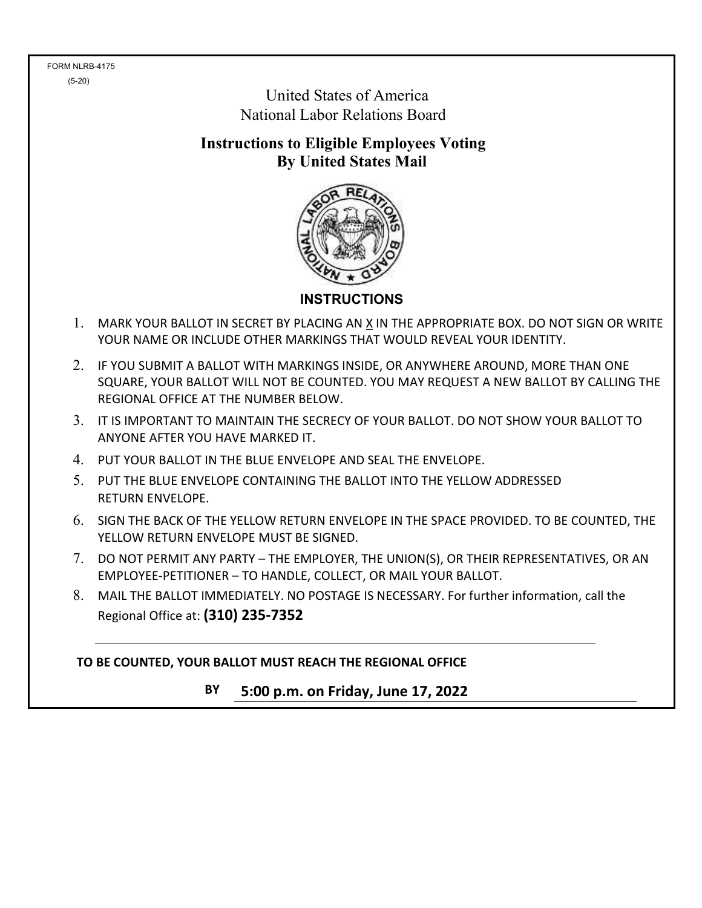FORM NLRB-4175 (5-20)

 United States of America National Labor Relations Board

**Instructions to Eligible Employees Voting By United States Mail**



**INSTRUCTIONS**

- 1. MARK YOUR BALLOT IN SECRET BY PLACING AN X IN THE APPROPRIATE BOX. DO NOT SIGN OR WRITE YOUR NAME OR INCLUDE OTHER MARKINGS THAT WOULD REVEAL YOUR IDENTITY.
- 2. IF YOU SUBMIT A BALLOT WITH MARKINGS INSIDE, OR ANYWHERE AROUND, MORE THAN ONE SQUARE, YOUR BALLOT WILL NOT BE COUNTED. YOU MAY REQUEST A NEW BALLOT BY CALLING THE REGIONAL OFFICE AT THE NUMBER BELOW.
- 3. IT IS IMPORTANT TO MAINTAIN THE SECRECY OF YOUR BALLOT. DO NOT SHOW YOUR BALLOT TO ANYONE AFTER YOU HAVE MARKED IT.
- 4. PUT YOUR BALLOT IN THE BLUE ENVELOPE AND SEAL THE ENVELOPE.
- 5. PUT THE BLUE ENVELOPE CONTAINING THE BALLOT INTO THE YELLOW ADDRESSED RETURN ENVELOPE.
- 6. SIGN THE BACK OF THE YELLOW RETURN ENVELOPE IN THE SPACE PROVIDED. TO BE COUNTED, THE YELLOW RETURN ENVELOPE MUST BE SIGNED.
- 7. DO NOT PERMIT ANY PARTY THE EMPLOYER, THE UNION(S), OR THEIR REPRESENTATIVES, OR AN EMPLOYEE-PETITIONER – TO HANDLE, COLLECT, OR MAIL YOUR BALLOT.
- 8. MAIL THE BALLOT IMMEDIATELY. NO POSTAGE IS NECESSARY. For further information, call the Regional Office at: **(310) 235-7352**

**TO BE COUNTED, YOUR BALLOT MUST REACH THE REGIONAL OFFICE**

**BY 5:00 p.m. on Friday, June 17, 2022**